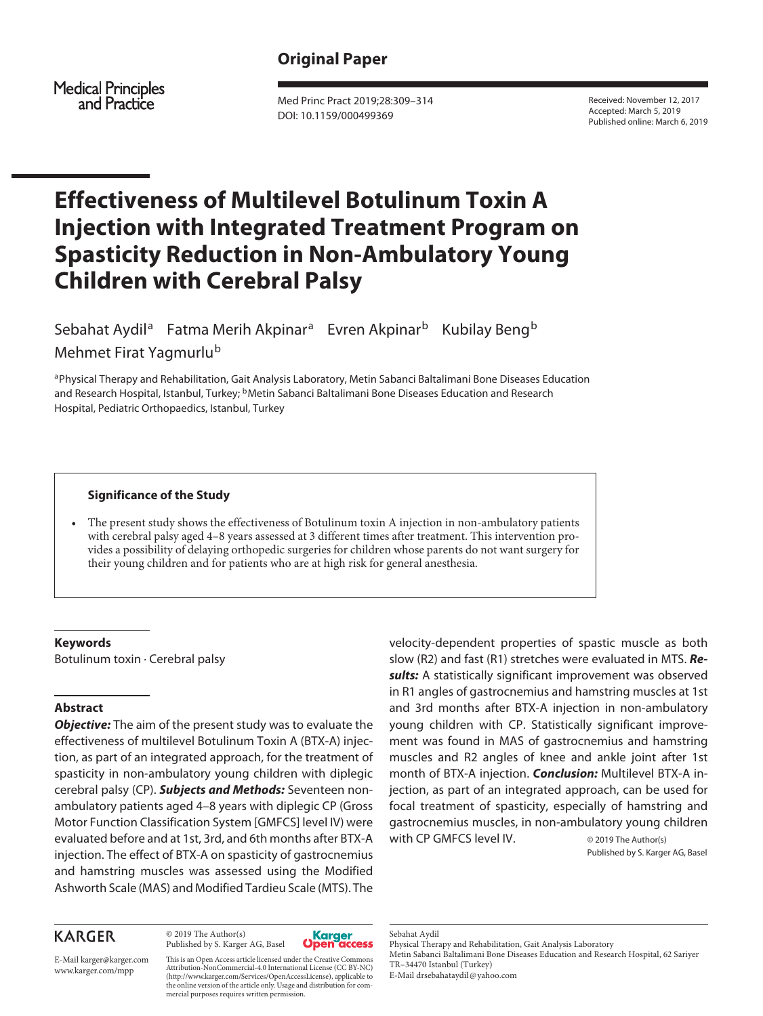### **Original Paper**

**Medical Principles** and Practice

Med Princ Pract 2019;28:309–314 DOI: 10.1159/000499369

Received: November 12, 2017 Accepted: March 5, 2019 Published online: March 6, 2019

## **Effectiveness of Multilevel Botulinum Toxin A Injection with Integrated Treatment Program on Spasticity Reduction in Non-Ambulatory Young Children with Cerebral Palsy**

Sebahat Aydil<sup>a</sup> Fatma Merih Akpinar<sup>a</sup> Evren Akpinar<sup>b</sup> Kubilay Beng<sup>b</sup> Mehmet Firat Yagmurlu<sup>b</sup>

aPhysical Therapy and Rehabilitation, Gait Analysis Laboratory, Metin Sabanci Baltalimani Bone Diseases Education and Research Hospital, Istanbul, Turkey; <sup>b</sup>Metin Sabanci Baltalimani Bone Diseases Education and Research Hospital, Pediatric Orthopaedics, Istanbul, Turkey

#### **Significance of the Study**

• The present study shows the effectiveness of Botulinum toxin A injection in non-ambulatory patients with cerebral palsy aged 4–8 years assessed at 3 different times after treatment. This intervention provides a possibility of delaying orthopedic surgeries for children whose parents do not want surgery for their young children and for patients who are at high risk for general anesthesia.

#### **Keywords**

Botulinum toxin · Cerebral palsy

#### **Abstract**

*Objective:* The aim of the present study was to evaluate the effectiveness of multilevel Botulinum Toxin A (BTX-A) injection, as part of an integrated approach, for the treatment of spasticity in non-ambulatory young children with diplegic cerebral palsy (CP). *Subjects and Methods:* Seventeen nonambulatory patients aged 4–8 years with diplegic CP (Gross Motor Function Classification System [GMFCS] level IV) were evaluated before and at 1st, 3rd, and 6th months after BTX-A injection. The effect of BTX-A on spasticity of gastrocnemius and hamstring muscles was assessed using the Modified Ashworth Scale (MAS) and Modified Tardieu Scale (MTS). The

# **KARGER**

© 2019 The Author(s) Published by S. Karger AG, Basel



E-Mail karger@karger.com www.karger.com/mpp

This is an Open Access article licensed under the Creative Commons Attribution-NonCommercial-4.0 International License (CC BY-NC) (http://www.karger.com/Services/OpenAccessLicense), applicable to the online version of the article only. Usage and distribution for commercial purposes requires written permission.

velocity-dependent properties of spastic muscle as both slow (R2) and fast (R1) stretches were evaluated in MTS. *Results:* A statistically significant improvement was observed in R1 angles of gastrocnemius and hamstring muscles at 1st and 3rd months after BTX-A injection in non-ambulatory young children with CP. Statistically significant improvement was found in MAS of gastrocnemius and hamstring muscles and R2 angles of knee and ankle joint after 1st month of BTX-A injection. *Conclusion:* Multilevel BTX-A injection, as part of an integrated approach, can be used for focal treatment of spasticity, especially of hamstring and gastrocnemius muscles, in non-ambulatory young children with CP GMFCS level IV.  $@2019$  The Author(s)

Published by S. Karger AG, Basel

Metin Sabanci Baltalimani Bone Diseases Education and Research Hospital, 62 Sariyer TR–34470 Istanbul (Turkey)

E-Mail drsebahataydil@yahoo.com

Sebahat Aydil

Physical Therapy and Rehabilitation, Gait Analysis Laboratory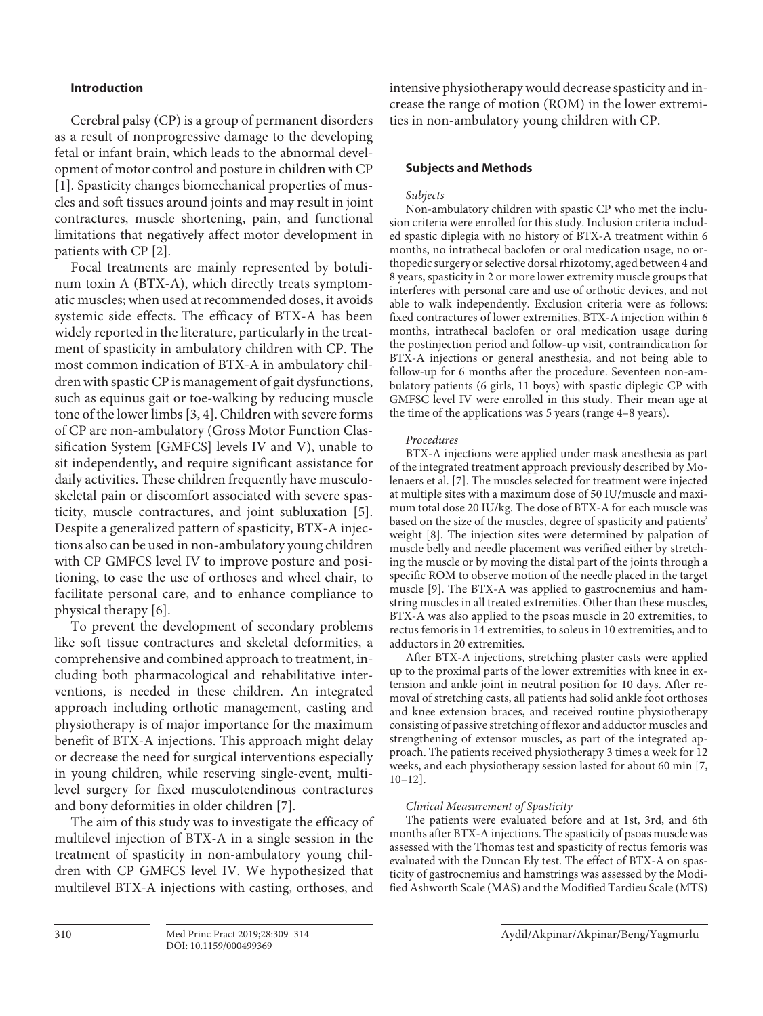#### **Introduction**

Cerebral palsy (CP) is a group of permanent disorders as a result of nonprogressive damage to the developing fetal or infant brain, which leads to the abnormal development of motor control and posture in children with CP [1]. Spasticity changes biomechanical properties of muscles and soft tissues around joints and may result in joint contractures, muscle shortening, pain, and functional limitations that negatively affect motor development in patients with CP [2].

Focal treatments are mainly represented by botulinum toxin A (BTX-A), which directly treats symptomatic muscles; when used at recommended doses, it avoids systemic side effects. The efficacy of BTX-A has been widely reported in the literature, particularly in the treatment of spasticity in ambulatory children with CP. The most common indication of BTX-A in ambulatory children with spastic CP is management of gait dysfunctions, such as equinus gait or toe-walking by reducing muscle tone of the lower limbs [3, 4]. Children with severe forms of CP are non-ambulatory (Gross Motor Function Classification System [GMFCS] levels IV and V), unable to sit independently, and require significant assistance for daily activities. These children frequently have musculoskeletal pain or discomfort associated with severe spasticity, muscle contractures, and joint subluxation [5]. Despite a generalized pattern of spasticity, BTX-A injections also can be used in non-ambulatory young children with CP GMFCS level IV to improve posture and positioning, to ease the use of orthoses and wheel chair, to facilitate personal care, and to enhance compliance to physical therapy [6].

To prevent the development of secondary problems like soft tissue contractures and skeletal deformities, a comprehensive and combined approach to treatment, including both pharmacological and rehabilitative interventions, is needed in these children. An integrated approach including orthotic management, casting and physiotherapy is of major importance for the maximum benefit of BTX-A injections. This approach might delay or decrease the need for surgical interventions especially in young children, while reserving single-event, multilevel surgery for fixed musculotendinous contractures and bony deformities in older children [7].

The aim of this study was to investigate the efficacy of multilevel injection of BTX-A in a single session in the treatment of spasticity in non-ambulatory young children with CP GMFCS level IV. We hypothesized that multilevel BTX-A injections with casting, orthoses, and

intensive physiotherapy would decrease spasticity and increase the range of motion (ROM) in the lower extremities in non-ambulatory young children with CP.

#### **Subjects and Methods**

#### *Subjects*

Non-ambulatory children with spastic CP who met the inclusion criteria were enrolled for this study. Inclusion criteria included spastic diplegia with no history of BTX-A treatment within 6 months, no intrathecal baclofen or oral medication usage, no orthopedic surgery or selective dorsal rhizotomy, aged between 4 and 8 years, spasticity in 2 or more lower extremity muscle groups that interferes with personal care and use of orthotic devices, and not able to walk independently. Exclusion criteria were as follows: fixed contractures of lower extremities, BTX-A injection within 6 months, intrathecal baclofen or oral medication usage during the postinjection period and follow-up visit, contraindication for BTX-A injections or general anesthesia, and not being able to follow-up for 6 months after the procedure. Seventeen non-ambulatory patients (6 girls, 11 boys) with spastic diplegic CP with GMFSC level IV were enrolled in this study. Their mean age at the time of the applications was 5 years (range 4–8 years).

#### *Procedures*

BTX-A injections were applied under mask anesthesia as part of the integrated treatment approach previously described by Molenaers et al. [7]. The muscles selected for treatment were injected at multiple sites with a maximum dose of 50 IU/muscle and maximum total dose 20 IU/kg. The dose of BTX-A for each muscle was based on the size of the muscles, degree of spasticity and patients' weight [8]. The injection sites were determined by palpation of muscle belly and needle placement was verified either by stretching the muscle or by moving the distal part of the joints through a specific ROM to observe motion of the needle placed in the target muscle [9]. The BTX-A was applied to gastrocnemius and hamstring muscles in all treated extremities. Other than these muscles, BTX-A was also applied to the psoas muscle in 20 extremities, to rectus femoris in 14 extremities, to soleus in 10 extremities, and to adductors in 20 extremities.

After BTX-A injections, stretching plaster casts were applied up to the proximal parts of the lower extremities with knee in extension and ankle joint in neutral position for 10 days. After removal of stretching casts, all patients had solid ankle foot orthoses and knee extension braces, and received routine physiotherapy consisting of passive stretching of flexor and adductor muscles and strengthening of extensor muscles, as part of the integrated approach. The patients received physiotherapy 3 times a week for 12 weeks, and each physiotherapy session lasted for about 60 min [7, 10–12].

#### *Clinical Measurement of Spasticity*

The patients were evaluated before and at 1st, 3rd, and 6th months after BTX-A injections. The spasticity of psoas muscle was assessed with the Thomas test and spasticity of rectus femoris was evaluated with the Duncan Ely test. The effect of BTX-A on spasticity of gastrocnemius and hamstrings was assessed by the Modified Ashworth Scale (MAS) and the Modified Tardieu Scale (MTS)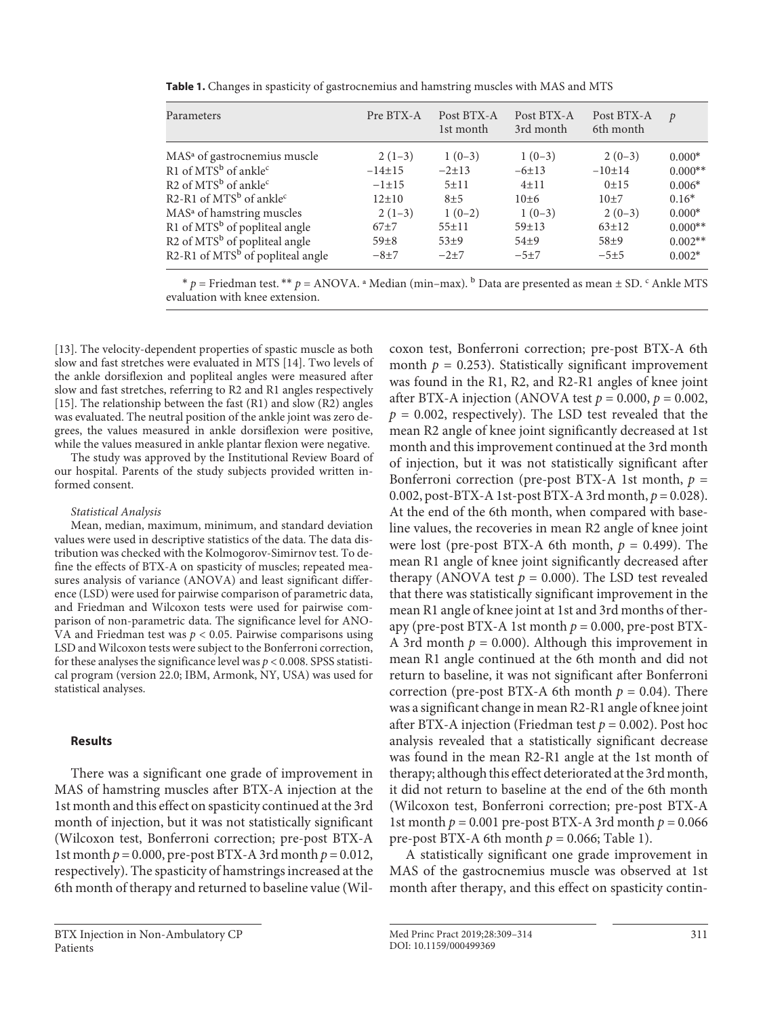| Parameters                                  | Pre BTX-A   | Post BTX-A<br>1st month | Post BTX-A<br>3rd month | Post BTX-A<br>6th month | $\mathcal{P}$ |
|---------------------------------------------|-------------|-------------------------|-------------------------|-------------------------|---------------|
| MAS <sup>a</sup> of gastrocnemius muscle    | $2(1-3)$    | $1(0-3)$                | $1(0-3)$                | $2(0-3)$                | $0.000*$      |
| R1 of $MTSb$ of ankle <sup>c</sup>          | $-14\pm 15$ | $-2\pm 13$              | $-6 \pm 13$             | $-10±14$                | $0.000**$     |
| R2 of $MTSb$ of ankle <sup>c</sup>          | $-1 \pm 15$ | $5 + 11$                | $4 + 11$                | 0±15                    | $0.006*$      |
| R2-R1 of $MTSb$ of ankle <sup>c</sup>       | $12 \pm 10$ | $8 + 5$                 | $10+6$                  | $10+7$                  | $0.16*$       |
| MAS <sup>a</sup> of hamstring muscles       | $2(1-3)$    | $1(0-2)$                | $1(0-3)$                | $2(0-3)$                | $0.000*$      |
| R1 of MTS <sup>b</sup> of popliteal angle   | $67+7$      | $55 \pm 11$             | $59 + 13$               | $63 \pm 12$             | $0.000**$     |
| $R2$ of MTS <sup>b</sup> of popliteal angle | $59 \pm 8$  | $53+9$                  | $54+9$                  | $58+9$                  | $0.002**$     |
| R2-R1 of $MTSb$ of popliteal angle          | $-8+7$      | $-2+7$                  | $-5+7$                  | $-5+5$                  | $0.002*$      |

**Table 1.** Changes in spasticity of gastrocnemius and hamstring muscles with MAS and MTS

 $* p =$  Friedman test.  $** p =$  ANOVA.  $*$  Median (min–max).  $^b$  Data are presented as mean  $\pm$  SD.  $^c$  Ankle MTS evaluation with knee extension.

[13]. The velocity-dependent properties of spastic muscle as both slow and fast stretches were evaluated in MTS [14]. Two levels of the ankle dorsiflexion and popliteal angles were measured after slow and fast stretches, referring to R2 and R1 angles respectively [15]. The relationship between the fast (R1) and slow (R2) angles was evaluated. The neutral position of the ankle joint was zero degrees, the values measured in ankle dorsiflexion were positive, while the values measured in ankle plantar flexion were negative.

The study was approved by the Institutional Review Board of our hospital. Parents of the study subjects provided written informed consent.

#### *Statistical Analysis*

Mean, median, maximum, minimum, and standard deviation values were used in descriptive statistics of the data. The data distribution was checked with the Kolmogorov-Simirnov test. To define the effects of BTX-A on spasticity of muscles; repeated measures analysis of variance (ANOVA) and least significant difference (LSD) were used for pairwise comparison of parametric data, and Friedman and Wilcoxon tests were used for pairwise comparison of non-parametric data. The significance level for ANO-VA and Friedman test was *p* < 0.05. Pairwise comparisons using LSD and Wilcoxon tests were subject to the Bonferroni correction, for these analyses the significance level was *p* < 0.008. SPSS statistical program (version 22.0; IBM, Armonk, NY, USA) was used for statistical analyses.

#### **Results**

There was a significant one grade of improvement in MAS of hamstring muscles after BTX-A injection at the 1st month and this effect on spasticity continued at the 3rd month of injection, but it was not statistically significant (Wilcoxon test, Bonferroni correction; pre-post BTX-A 1st month  $p = 0.000$ , pre-post BTX-A 3rd month  $p = 0.012$ , respectively). The spasticity of hamstrings increased at the 6th month of therapy and returned to baseline value (Wilcoxon test, Bonferroni correction; pre-post BTX-A 6th month  $p = 0.253$ ). Statistically significant improvement was found in the R1, R2, and R2-R1 angles of knee joint after BTX-A injection (ANOVA test  $p = 0.000$ ,  $p = 0.002$ ,  $p = 0.002$ , respectively). The LSD test revealed that the mean R2 angle of knee joint significantly decreased at 1st month and this improvement continued at the 3rd month of injection, but it was not statistically significant after Bonferroni correction (pre-post BTX-A 1st month,  $p =$ 0.002, post-BTX-A 1st-post BTX-A 3rd month, *p* = 0.028). At the end of the 6th month, when compared with baseline values, the recoveries in mean R2 angle of knee joint were lost (pre-post BTX-A 6th month,  $p = 0.499$ ). The mean R1 angle of knee joint significantly decreased after therapy (ANOVA test  $p = 0.000$ ). The LSD test revealed that there was statistically significant improvement in the mean R1 angle of knee joint at 1st and 3rd months of therapy (pre-post BTX-A 1st month  $p = 0.000$ , pre-post BTX-A 3rd month  $p = 0.000$ ). Although this improvement in mean R1 angle continued at the 6th month and did not return to baseline, it was not significant after Bonferroni correction (pre-post BTX-A 6th month  $p = 0.04$ ). There was a significant change in mean R2-R1 angle of knee joint after BTX-A injection (Friedman test  $p = 0.002$ ). Post hoc analysis revealed that a statistically significant decrease was found in the mean R2-R1 angle at the 1st month of therapy; although this effect deteriorated at the 3rd month, it did not return to baseline at the end of the 6th month (Wilcoxon test, Bonferroni correction; pre-post BTX-A 1st month  $p = 0.001$  pre-post BTX-A 3rd month  $p = 0.066$ pre-post BTX-A 6th month  $p = 0.066$ ; Table 1).

A statistically significant one grade improvement in MAS of the gastrocnemius muscle was observed at 1st month after therapy, and this effect on spasticity contin-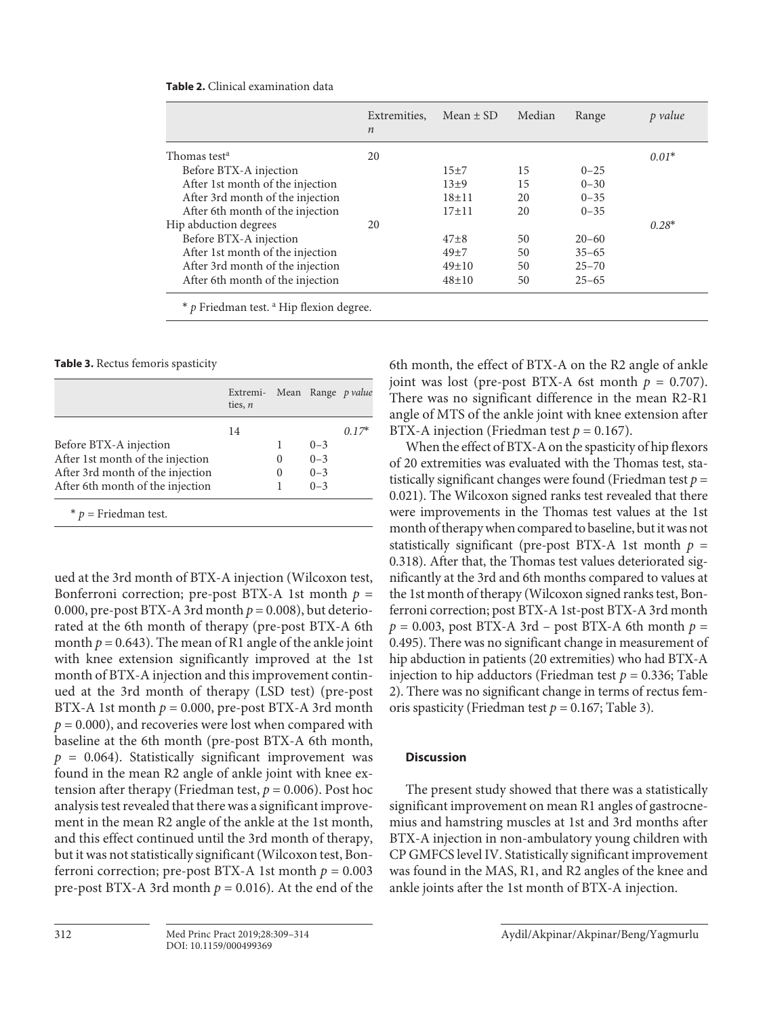|                                  | Extremities.<br>$\boldsymbol{n}$ | Mean $\pm$ SD | Median | Range     | p value |
|----------------------------------|----------------------------------|---------------|--------|-----------|---------|
| Thomas test <sup>a</sup>         | 20                               |               |        |           | $0.01*$ |
| Before BTX-A injection           |                                  | $15+7$        | 15     | $0 - 25$  |         |
| After 1st month of the injection |                                  | $13+9$        | 15     | $0 - 30$  |         |
| After 3rd month of the injection |                                  | $18 + 11$     | 20     | $0 - 35$  |         |
| After 6th month of the injection |                                  | $17+11$       | 20     | $0 - 35$  |         |
| Hip abduction degrees            | 20                               |               |        |           | $0.28*$ |
| Before BTX-A injection           |                                  | $47\pm8$      | 50     | $20 - 60$ |         |
| After 1st month of the injection |                                  | 49±7          | 50     | $35 - 65$ |         |
| After 3rd month of the injection |                                  | $49 \pm 10$   | 50     | $25 - 70$ |         |
| After 6th month of the injection |                                  | $48 + 10$     | 50     | $25 - 65$ |         |

**Table 2.** Clinical examination data

**Table 3.** Rectus femoris spasticity

|                                  | Extremi- Mean Range p value<br>ties, $n$ |          |         |            |
|----------------------------------|------------------------------------------|----------|---------|------------|
|                                  | 14                                       |          |         | $(0.17^*)$ |
| Before BTX-A injection           |                                          |          | $0 - 3$ |            |
| After 1st month of the injection |                                          | $\theta$ | $0 - 3$ |            |
| After 3rd month of the injection |                                          | $\Omega$ | $0 - 3$ |            |
| After 6th month of the injection |                                          |          | $0 - 3$ |            |

\* *p* = Friedman test.

ued at the 3rd month of BTX-A injection (Wilcoxon test, Bonferroni correction; pre-post BTX-A 1st month  $p =$ 0.000, pre-post BTX-A 3rd month  $p = 0.008$ ), but deteriorated at the 6th month of therapy (pre-post BTX-A 6th month  $p = 0.643$ ). The mean of R1 angle of the ankle joint with knee extension significantly improved at the 1st month of BTX-A injection and this improvement continued at the 3rd month of therapy (LSD test) (pre-post BTX-A 1st month  $p = 0.000$ , pre-post BTX-A 3rd month  $p = 0.000$ , and recoveries were lost when compared with baseline at the 6th month (pre-post BTX-A 6th month,  $p = 0.064$ ). Statistically significant improvement was found in the mean R2 angle of ankle joint with knee extension after therapy (Friedman test,  $p = 0.006$ ). Post hoc analysis test revealed that there was a significant improvement in the mean R2 angle of the ankle at the 1st month, and this effect continued until the 3rd month of therapy, but it was not statistically significant (Wilcoxon test, Bonferroni correction; pre-post BTX-A 1st month  $p = 0.003$ pre-post BTX-A 3rd month  $p = 0.016$ ). At the end of the 6th month, the effect of BTX-A on the R2 angle of ankle joint was lost (pre-post BTX-A 6st month  $p = 0.707$ ). There was no significant difference in the mean R2-R1 angle of MTS of the ankle joint with knee extension after BTX-A injection (Friedman test  $p = 0.167$ ).

When the effect of BTX-A on the spasticity of hip flexors of 20 extremities was evaluated with the Thomas test, statistically significant changes were found (Friedman test *p* = 0.021). The Wilcoxon signed ranks test revealed that there were improvements in the Thomas test values at the 1st month of therapy when compared to baseline, but it was not statistically significant (pre-post BTX-A 1st month  $p =$ 0.318). After that, the Thomas test values deteriorated significantly at the 3rd and 6th months compared to values at the 1st month of therapy (Wilcoxon signed ranks test, Bonferroni correction; post BTX-A 1st-post BTX-A 3rd month  $p = 0.003$ , post BTX-A 3rd – post BTX-A 6th month  $p =$ 0.495). There was no significant change in measurement of hip abduction in patients (20 extremities) who had BTX-A injection to hip adductors (Friedman test  $p = 0.336$ ; Table 2). There was no significant change in terms of rectus femoris spasticity (Friedman test  $p = 0.167$ ; Table 3).

#### **Discussion**

The present study showed that there was a statistically significant improvement on mean R1 angles of gastrocnemius and hamstring muscles at 1st and 3rd months after BTX-A injection in non-ambulatory young children with CP GMFCS level IV. Statistically significant improvement was found in the MAS, R1, and R2 angles of the knee and ankle joints after the 1st month of BTX-A injection.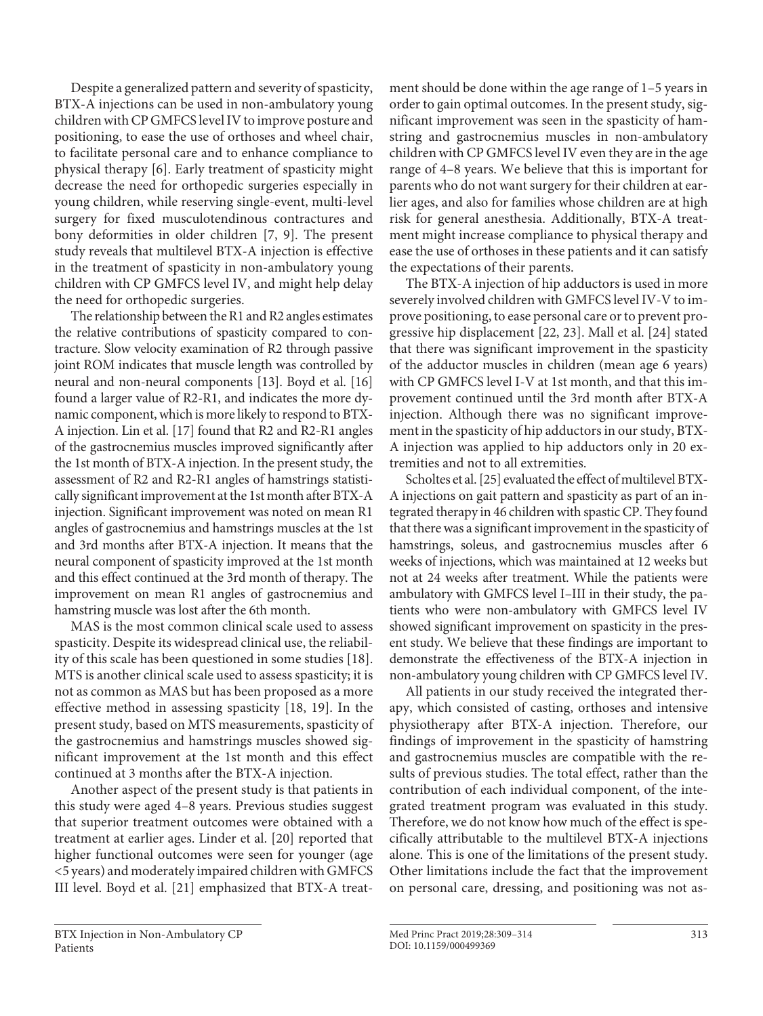Despite a generalized pattern and severity of spasticity, BTX-A injections can be used in non-ambulatory young children with CP GMFCS level IV to improve posture and positioning, to ease the use of orthoses and wheel chair, to facilitate personal care and to enhance compliance to physical therapy [6]. Early treatment of spasticity might decrease the need for orthopedic surgeries especially in young children, while reserving single-event, multi-level surgery for fixed musculotendinous contractures and bony deformities in older children [7, 9]. The present study reveals that multilevel BTX-A injection is effective in the treatment of spasticity in non-ambulatory young children with CP GMFCS level IV, and might help delay the need for orthopedic surgeries.

The relationship between the R1 and R2 angles estimates the relative contributions of spasticity compared to contracture. Slow velocity examination of R2 through passive joint ROM indicates that muscle length was controlled by neural and non-neural components [13]. Boyd et al. [16] found a larger value of R2-R1, and indicates the more dynamic component, which is more likely to respond to BTX-A injection. Lin et al. [17] found that R2 and R2-R1 angles of the gastrocnemius muscles improved significantly after the 1st month of BTX-A injection. In the present study, the assessment of R2 and R2-R1 angles of hamstrings statistically significant improvement at the 1st month after BTX-A injection. Significant improvement was noted on mean R1 angles of gastrocnemius and hamstrings muscles at the 1st and 3rd months after BTX-A injection. It means that the neural component of spasticity improved at the 1st month and this effect continued at the 3rd month of therapy. The improvement on mean R1 angles of gastrocnemius and hamstring muscle was lost after the 6th month.

MAS is the most common clinical scale used to assess spasticity. Despite its widespread clinical use, the reliability of this scale has been questioned in some studies [18]. MTS is another clinical scale used to assess spasticity; it is not as common as MAS but has been proposed as a more effective method in assessing spasticity [18, 19]. In the present study, based on MTS measurements, spasticity of the gastrocnemius and hamstrings muscles showed significant improvement at the 1st month and this effect continued at 3 months after the BTX-A injection.

Another aspect of the present study is that patients in this study were aged 4–8 years. Previous studies suggest that superior treatment outcomes were obtained with a treatment at earlier ages. Linder et al. [20] reported that higher functional outcomes were seen for younger (age <5 years) and moderately impaired children with GMFCS III level. Boyd et al. [21] emphasized that BTX-A treatment should be done within the age range of 1–5 years in order to gain optimal outcomes. In the present study, significant improvement was seen in the spasticity of hamstring and gastrocnemius muscles in non-ambulatory children with CP GMFCS level IV even they are in the age range of 4–8 years. We believe that this is important for parents who do not want surgery for their children at earlier ages, and also for families whose children are at high risk for general anesthesia. Additionally, BTX-A treatment might increase compliance to physical therapy and ease the use of orthoses in these patients and it can satisfy the expectations of their parents.

The BTX-A injection of hip adductors is used in more severely involved children with GMFCS level IV-V to improve positioning, to ease personal care or to prevent progressive hip displacement [22, 23]. Mall et al. [24] stated that there was significant improvement in the spasticity of the adductor muscles in children (mean age 6 years) with CP GMFCS level I-V at 1st month, and that this improvement continued until the 3rd month after BTX-A injection. Although there was no significant improvement in the spasticity of hip adductors in our study, BTX-A injection was applied to hip adductors only in 20 extremities and not to all extremities.

Scholtes et al. [25] evaluated the effect of multilevel BTX-A injections on gait pattern and spasticity as part of an integrated therapy in 46 children with spastic CP. They found that there was a significant improvement in the spasticity of hamstrings, soleus, and gastrocnemius muscles after 6 weeks of injections, which was maintained at 12 weeks but not at 24 weeks after treatment. While the patients were ambulatory with GMFCS level I–III in their study, the patients who were non-ambulatory with GMFCS level IV showed significant improvement on spasticity in the present study. We believe that these findings are important to demonstrate the effectiveness of the BTX-A injection in non-ambulatory young children with CP GMFCS level IV.

All patients in our study received the integrated therapy, which consisted of casting, orthoses and intensive physiotherapy after BTX-A injection. Therefore, our findings of improvement in the spasticity of hamstring and gastrocnemius muscles are compatible with the results of previous studies. The total effect, rather than the contribution of each individual component, of the integrated treatment program was evaluated in this study. Therefore, we do not know how much of the effect is specifically attributable to the multilevel BTX-A injections alone. This is one of the limitations of the present study. Other limitations include the fact that the improvement on personal care, dressing, and positioning was not as-